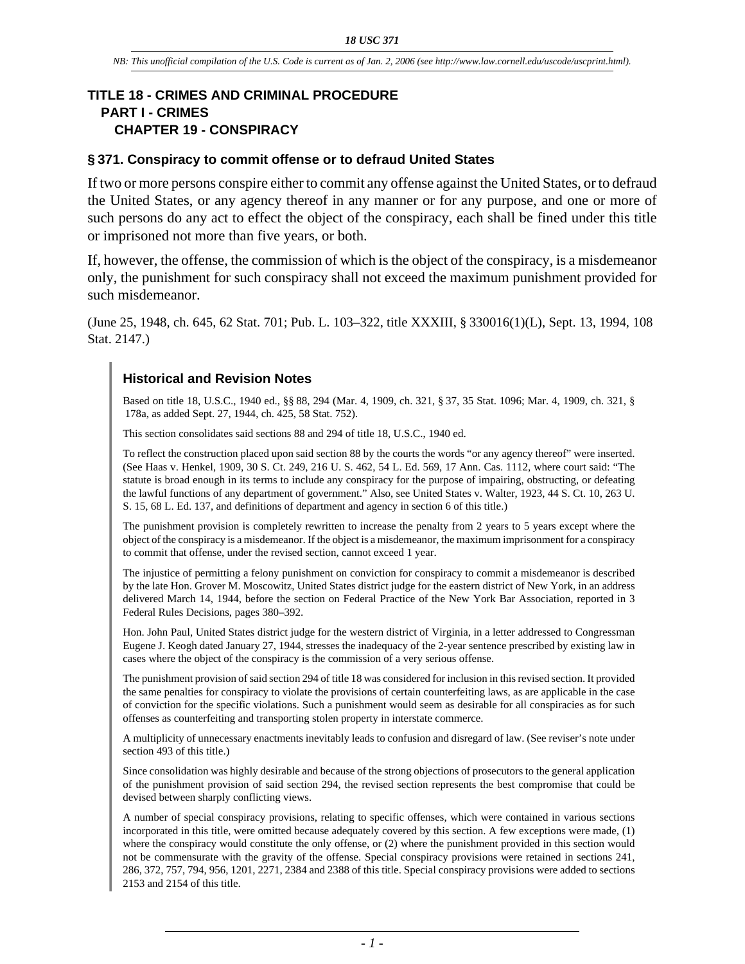## **TITLE 18 - CRIMES AND CRIMINAL PROCEDURE PART I - CRIMES CHAPTER 19 - CONSPIRACY**

## **§ 371. Conspiracy to commit offense or to defraud United States**

If two or more persons conspire either to commit any offense against the United States, or to defraud the United States, or any agency thereof in any manner or for any purpose, and one or more of such persons do any act to effect the object of the conspiracy, each shall be fined under this title or imprisoned not more than five years, or both.

If, however, the offense, the commission of which is the object of the conspiracy, is a misdemeanor only, the punishment for such conspiracy shall not exceed the maximum punishment provided for such misdemeanor.

(June 25, 1948, ch. 645, 62 Stat. 701; Pub. L. 103–322, title XXXIII, § 330016(1)(L), Sept. 13, 1994, 108 Stat. 2147.)

## **Historical and Revision Notes**

Based on title 18, U.S.C., 1940 ed., §§ 88, 294 (Mar. 4, 1909, ch. 321, § 37, 35 Stat. 1096; Mar. 4, 1909, ch. 321, § 178a, as added Sept. 27, 1944, ch. 425, 58 Stat. 752).

This section consolidates said sections 88 and 294 of title 18, U.S.C., 1940 ed.

To reflect the construction placed upon said section 88 by the courts the words "or any agency thereof" were inserted. (See Haas v. Henkel, 1909, 30 S. Ct. 249, 216 U. S. 462, 54 L. Ed. 569, 17 Ann. Cas. 1112, where court said: "The statute is broad enough in its terms to include any conspiracy for the purpose of impairing, obstructing, or defeating the lawful functions of any department of government." Also, see United States v. Walter, 1923, 44 S. Ct. 10, 263 U. S. 15, 68 L. Ed. 137, and definitions of department and agency in section 6 of this title.)

The punishment provision is completely rewritten to increase the penalty from 2 years to 5 years except where the object of the conspiracy is a misdemeanor. If the object is a misdemeanor, the maximum imprisonment for a conspiracy to commit that offense, under the revised section, cannot exceed 1 year.

The injustice of permitting a felony punishment on conviction for conspiracy to commit a misdemeanor is described by the late Hon. Grover M. Moscowitz, United States district judge for the eastern district of New York, in an address delivered March 14, 1944, before the section on Federal Practice of the New York Bar Association, reported in 3 Federal Rules Decisions, pages 380–392.

Hon. John Paul, United States district judge for the western district of Virginia, in a letter addressed to Congressman Eugene J. Keogh dated January 27, 1944, stresses the inadequacy of the 2-year sentence prescribed by existing law in cases where the object of the conspiracy is the commission of a very serious offense.

The punishment provision of said section 294 of title 18 was considered for inclusion in this revised section. It provided the same penalties for conspiracy to violate the provisions of certain counterfeiting laws, as are applicable in the case of conviction for the specific violations. Such a punishment would seem as desirable for all conspiracies as for such offenses as counterfeiting and transporting stolen property in interstate commerce.

A multiplicity of unnecessary enactments inevitably leads to confusion and disregard of law. (See reviser's note under section 493 of this title.)

Since consolidation was highly desirable and because of the strong objections of prosecutors to the general application of the punishment provision of said section 294, the revised section represents the best compromise that could be devised between sharply conflicting views.

A number of special conspiracy provisions, relating to specific offenses, which were contained in various sections incorporated in this title, were omitted because adequately covered by this section. A few exceptions were made, (1) where the conspiracy would constitute the only offense, or (2) where the punishment provided in this section would not be commensurate with the gravity of the offense. Special conspiracy provisions were retained in sections 241, 286, 372, 757, 794, 956, 1201, 2271, 2384 and 2388 of this title. Special conspiracy provisions were added to sections 2153 and 2154 of this title.